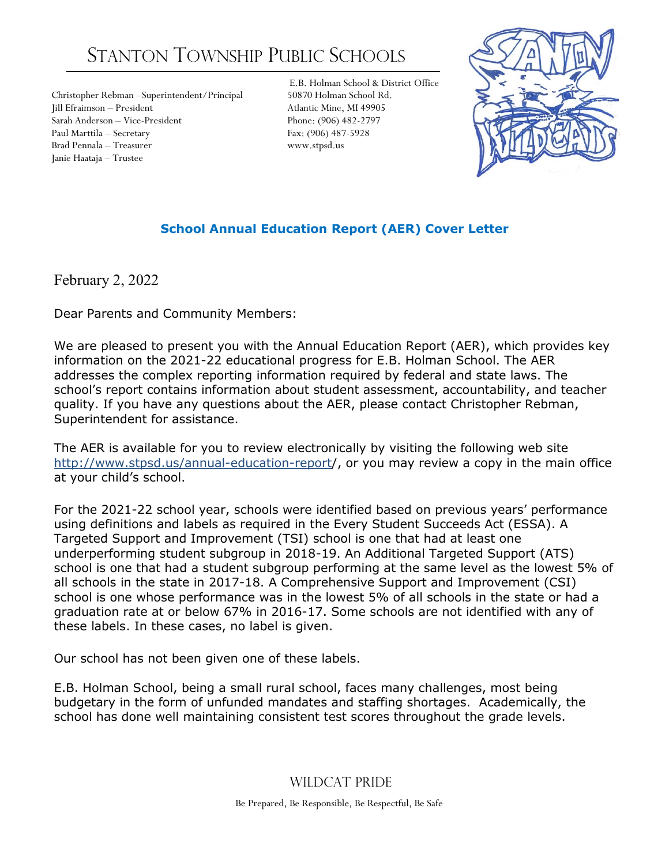# STANTON TOWNSHIP PUBLIC SCHOOLS

Christopher Rebman –Superintendent/Principal 50870 Holman School Rd. Jill Efraimson – President Atlantic Mine, MI 49905 Sarah Anderson – Vice-President Phone: (906) 482-2797 Paul Marttila – Secretary Fax: (906) 487-5928 Brad Pennala – Treasurer www.stpsd.us Janie Haataja – Trustee

E.B. Holman School & District Office



# **School Annual Education Report (AER) Cover Letter**

February 2, 2022

Dear Parents and Community Members:

We are pleased to present you with the Annual Education Report (AER), which provides key information on the 2021-22 educational progress for E.B. Holman School. The AER addresses the complex reporting information required by federal and state laws. The school's report contains information about student assessment, accountability, and teacher quality. If you have any questions about the AER, please contact Christopher Rebman, Superintendent for assistance.

The AER is available for you to review electronically by visiting the following web site http://www.stpsd.us/annual-education-report/, or you may review a copy in the main office at your child's school.

For the 2021-22 school year, schools were identified based on previous years' performance using definitions and labels as required in the Every Student Succeeds Act (ESSA). A Targeted Support and Improvement (TSI) school is one that had at least one underperforming student subgroup in 2018-19. An Additional Targeted Support (ATS) school is one that had a student subgroup performing at the same level as the lowest 5% of all schools in the state in 2017-18. A Comprehensive Support and Improvement (CSI) school is one whose performance was in the lowest 5% of all schools in the state or had a graduation rate at or below 67% in 2016-17. Some schools are not identified with any of these labels. In these cases, no label is given.

Our school has not been given one of these labels.

E.B. Holman School, being a small rural school, faces many challenges, most being budgetary in the form of unfunded mandates and staffing shortages. Academically, the school has done well maintaining consistent test scores throughout the grade levels.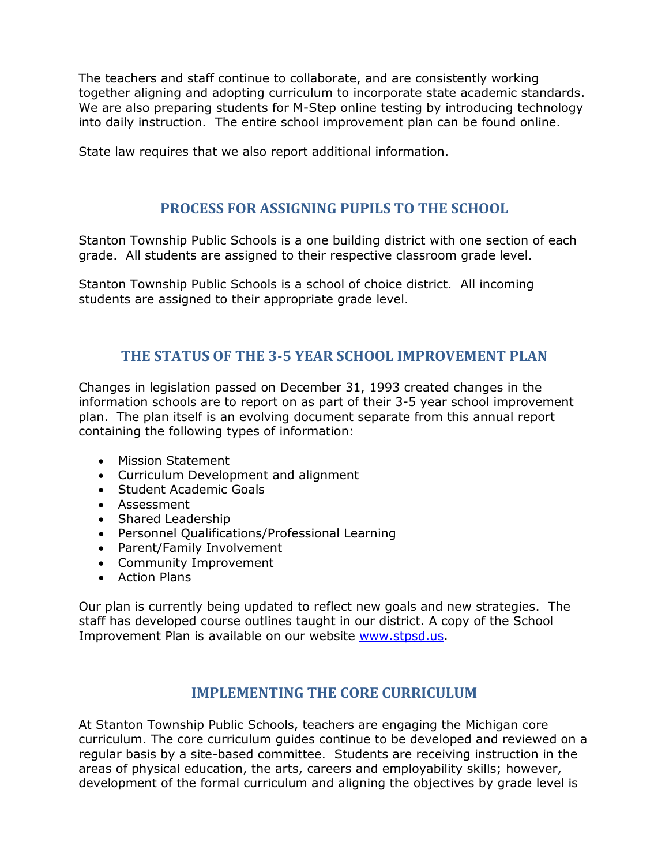The teachers and staff continue to collaborate, and are consistently working together aligning and adopting curriculum to incorporate state academic standards. We are also preparing students for M-Step online testing by introducing technology into daily instruction. The entire school improvement plan can be found online.

State law requires that we also report additional information.

#### **PROCESS FOR ASSIGNING PUPILS TO THE SCHOOL**

Stanton Township Public Schools is a one building district with one section of each grade. All students are assigned to their respective classroom grade level.

Stanton Township Public Schools is a school of choice district. All incoming students are assigned to their appropriate grade level.

## **THE STATUS OF THE 3-5 YEAR SCHOOL IMPROVEMENT PLAN**

Changes in legislation passed on December 31, 1993 created changes in the information schools are to report on as part of their 3-5 year school improvement plan. The plan itself is an evolving document separate from this annual report containing the following types of information:

- Mission Statement
- Curriculum Development and alignment
- Student Academic Goals
- Assessment
- Shared Leadership
- Personnel Qualifications/Professional Learning
- Parent/Family Involvement
- Community Improvement
- Action Plans

Our plan is currently being updated to reflect new goals and new strategies. The staff has developed course outlines taught in our district. A copy of the School Improvement Plan is available on our website [www.stpsd.us.](http://www.stpsd.us/)

#### **IMPLEMENTING THE CORE CURRICULUM**

At Stanton Township Public Schools, teachers are engaging the Michigan core curriculum. The core curriculum guides continue to be developed and reviewed on a regular basis by a site-based committee. Students are receiving instruction in the areas of physical education, the arts, careers and employability skills; however, development of the formal curriculum and aligning the objectives by grade level is